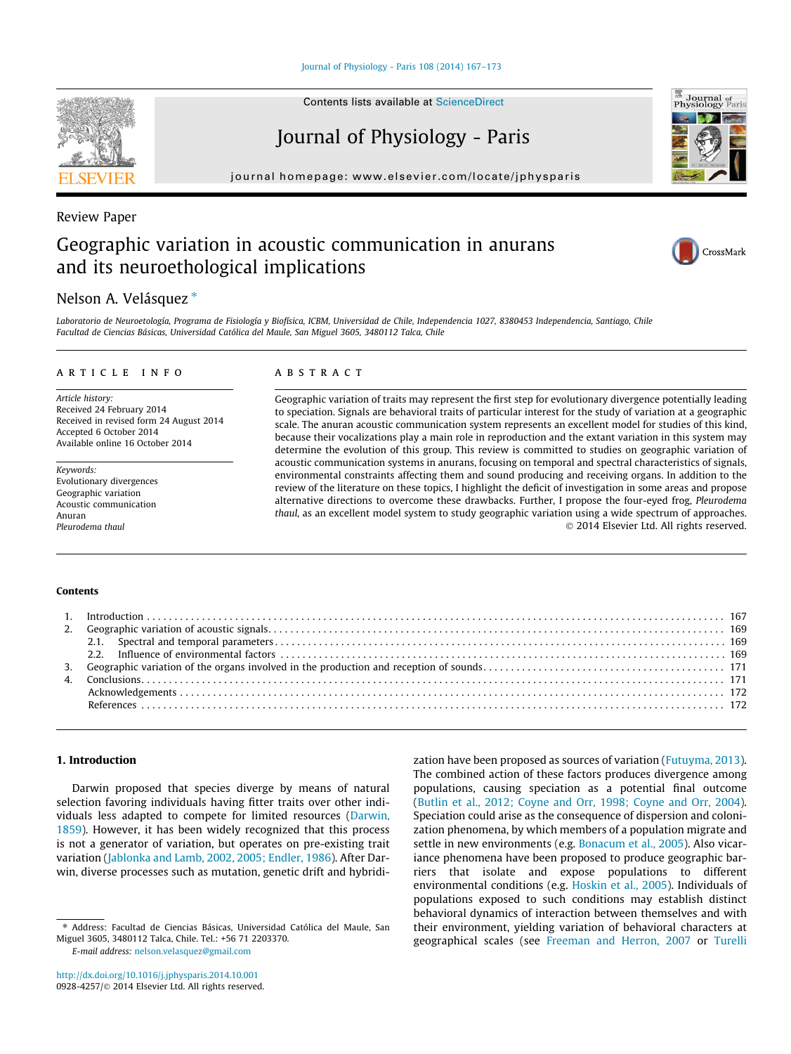Contents lists available at [ScienceDirect](http://www.sciencedirect.com/science/journal/09284257)

# Journal of Physiology - Paris

journal homepage: [www.elsevier.com/locate/jphysparis](http://www.elsevier.com/locate/jphysparis)

# Review Paper Geographic variation in acoustic communication in anurans and its neuroethological implications

# Nelson A. Velásquez \*

Laboratorio de Neuroetología, Programa de Fisiología y Biofísica, ICBM, Universidad de Chile, Independencia 1027, 8380453 Independencia, Santiago, Chile Facultad de Ciencias Básicas, Universidad Católica del Maule, San Miguel 3605, 3480112 Talca, Chile

## article info

Article history: Received 24 February 2014 Received in revised form 24 August 2014 Accepted 6 October 2014 Available online 16 October 2014

Keywords: Evolutionary divergences Geographic variation Acoustic communication Anuran Pleurodema thaul

### **ABSTRACT**

Geographic variation of traits may represent the first step for evolutionary divergence potentially leading to speciation. Signals are behavioral traits of particular interest for the study of variation at a geographic scale. The anuran acoustic communication system represents an excellent model for studies of this kind, because their vocalizations play a main role in reproduction and the extant variation in this system may determine the evolution of this group. This review is committed to studies on geographic variation of acoustic communication systems in anurans, focusing on temporal and spectral characteristics of signals, environmental constraints affecting them and sound producing and receiving organs. In addition to the review of the literature on these topics, I highlight the deficit of investigation in some areas and propose alternative directions to overcome these drawbacks. Further, I propose the four-eyed frog, Pleurodema thaul, as an excellent model system to study geographic variation using a wide spectrum of approaches. - 2014 Elsevier Ltd. All rights reserved.

#### Contents

## 1. Introduction

Darwin proposed that species diverge by means of natural selection favoring individuals having fitter traits over other individuals less adapted to compete for limited resources ([Darwin,](#page-5-0) [1859\)](#page-5-0). However, it has been widely recognized that this process is not a generator of variation, but operates on pre-existing trait variation [\(Jablonka and Lamb, 2002, 2005; Endler, 1986](#page-5-0)). After Darwin, diverse processes such as mutation, genetic drift and hybridi-

E-mail address: [nelson.velasquez@gmail.com](mailto:nelson.velasquez@gmail.com)

zation have been proposed as sources of variation [\(Futuyma, 2013\)](#page-5-0). The combined action of these factors produces divergence among populations, causing speciation as a potential final outcome ([Butlin et al., 2012; Coyne and Orr, 1998; Coyne and Orr, 2004\)](#page-5-0). Speciation could arise as the consequence of dispersion and colonization phenomena, by which members of a population migrate and settle in new environments (e.g. [Bonacum et al., 2005](#page-5-0)). Also vicariance phenomena have been proposed to produce geographic barriers that isolate and expose populations to different environmental conditions (e.g. [Hoskin et al., 2005\)](#page-5-0). Individuals of populations exposed to such conditions may establish distinct behavioral dynamics of interaction between themselves and with their environment, yielding variation of behavioral characters at geographical scales (see [Freeman and Herron, 2007](#page-5-0) or [Turelli](#page-6-0)







<sup>⇑</sup> Address: Facultad de Ciencias Básicas, Universidad Católica del Maule, San Miguel 3605, 3480112 Talca, Chile. Tel.: +56 71 2203370.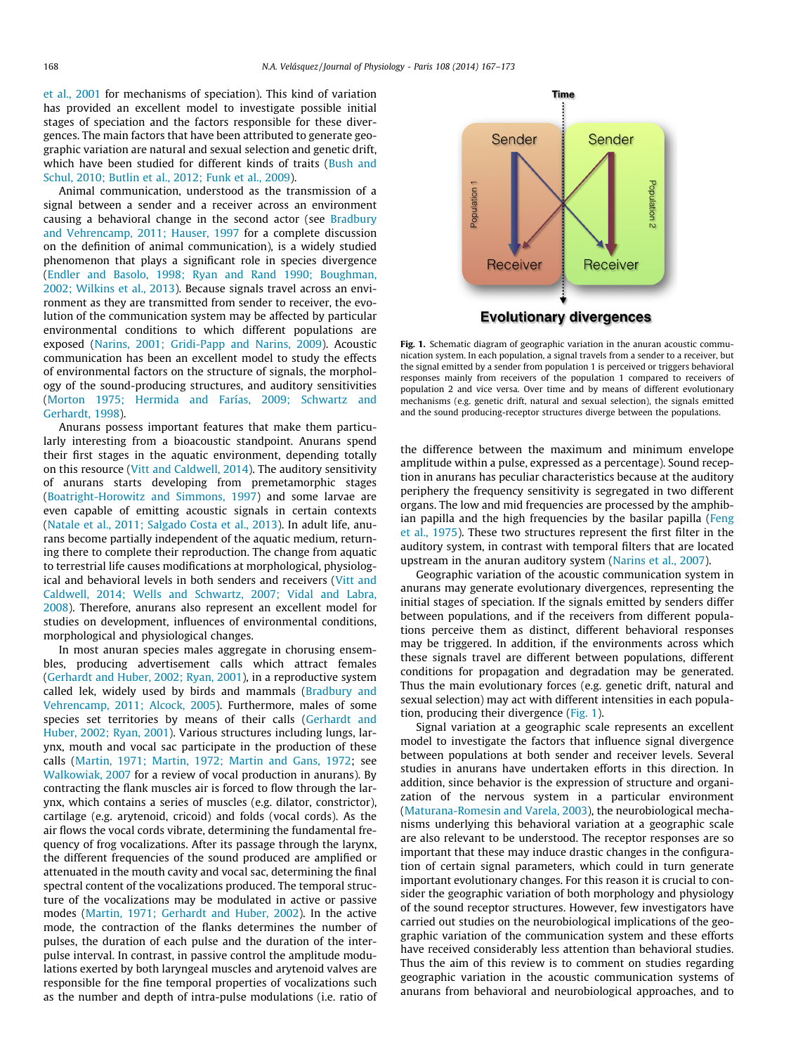[et al., 2001](#page-6-0) for mechanisms of speciation). This kind of variation has provided an excellent model to investigate possible initial stages of speciation and the factors responsible for these divergences. The main factors that have been attributed to generate geographic variation are natural and sexual selection and genetic drift, which have been studied for different kinds of traits ([Bush and](#page-5-0) [Schul, 2010; Butlin et al., 2012; Funk et al., 2009\)](#page-5-0).

Animal communication, understood as the transmission of a signal between a sender and a receiver across an environment causing a behavioral change in the second actor (see [Bradbury](#page-5-0) [and Vehrencamp, 2011; Hauser, 1997](#page-5-0) for a complete discussion on the definition of animal communication), is a widely studied phenomenon that plays a significant role in species divergence ([Endler and Basolo, 1998; Ryan and Rand 1990; Boughman,](#page-5-0) [2002; Wilkins et al., 2013\)](#page-5-0). Because signals travel across an environment as they are transmitted from sender to receiver, the evolution of the communication system may be affected by particular environmental conditions to which different populations are exposed [\(Narins, 2001; Gridi-Papp and Narins, 2009](#page-5-0)). Acoustic communication has been an excellent model to study the effects of environmental factors on the structure of signals, the morphology of the sound-producing structures, and auditory sensitivities ([Morton 1975; Hermida and Farías, 2009; Schwartz and](#page-5-0) [Gerhardt, 1998](#page-5-0)).

Anurans possess important features that make them particularly interesting from a bioacoustic standpoint. Anurans spend their first stages in the aquatic environment, depending totally on this resource ([Vitt and Caldwell, 2014](#page-6-0)). The auditory sensitivity of anurans starts developing from premetamorphic stages ([Boatright-Horowitz and Simmons, 1997](#page-5-0)) and some larvae are even capable of emitting acoustic signals in certain contexts ([Natale et al., 2011; Salgado Costa et al., 2013](#page-5-0)). In adult life, anurans become partially independent of the aquatic medium, returning there to complete their reproduction. The change from aquatic to terrestrial life causes modifications at morphological, physiological and behavioral levels in both senders and receivers ([Vitt and](#page-6-0) [Caldwell, 2014; Wells and Schwartz, 2007; Vidal and Labra,](#page-6-0) [2008\)](#page-6-0). Therefore, anurans also represent an excellent model for studies on development, influences of environmental conditions, morphological and physiological changes.

In most anuran species males aggregate in chorusing ensembles, producing advertisement calls which attract females ([Gerhardt and Huber, 2002; Ryan, 2001](#page-5-0)), in a reproductive system called lek, widely used by birds and mammals [\(Bradbury and](#page-5-0) [Vehrencamp, 2011; Alcock, 2005\)](#page-5-0). Furthermore, males of some species set territories by means of their calls ([Gerhardt and](#page-5-0) [Huber, 2002; Ryan, 2001](#page-5-0)). Various structures including lungs, larynx, mouth and vocal sac participate in the production of these calls ([Martin, 1971; Martin, 1972; Martin and Gans, 1972](#page-5-0); see [Walkowiak, 2007](#page-6-0) for a review of vocal production in anurans). By contracting the flank muscles air is forced to flow through the larynx, which contains a series of muscles (e.g. dilator, constrictor), cartilage (e.g. arytenoid, cricoid) and folds (vocal cords). As the air flows the vocal cords vibrate, determining the fundamental frequency of frog vocalizations. After its passage through the larynx, the different frequencies of the sound produced are amplified or attenuated in the mouth cavity and vocal sac, determining the final spectral content of the vocalizations produced. The temporal structure of the vocalizations may be modulated in active or passive modes ([Martin, 1971; Gerhardt and Huber, 2002](#page-5-0)). In the active mode, the contraction of the flanks determines the number of pulses, the duration of each pulse and the duration of the interpulse interval. In contrast, in passive control the amplitude modulations exerted by both laryngeal muscles and arytenoid valves are responsible for the fine temporal properties of vocalizations such as the number and depth of intra-pulse modulations (i.e. ratio of



Fig. 1. Schematic diagram of geographic variation in the anuran acoustic communication system. In each population, a signal travels from a sender to a receiver, but the signal emitted by a sender from population 1 is perceived or triggers behavioral responses mainly from receivers of the population 1 compared to receivers of population 2 and vice versa. Over time and by means of different evolutionary mechanisms (e.g. genetic drift, natural and sexual selection), the signals emitted and the sound producing-receptor structures diverge between the populations.

the difference between the maximum and minimum envelope amplitude within a pulse, expressed as a percentage). Sound reception in anurans has peculiar characteristics because at the auditory periphery the frequency sensitivity is segregated in two different organs. The low and mid frequencies are processed by the amphibian papilla and the high frequencies by the basilar papilla ([Feng](#page-5-0) [et al., 1975\)](#page-5-0). These two structures represent the first filter in the auditory system, in contrast with temporal filters that are located upstream in the anuran auditory system ([Narins et al., 2007\)](#page-5-0).

Geographic variation of the acoustic communication system in anurans may generate evolutionary divergences, representing the initial stages of speciation. If the signals emitted by senders differ between populations, and if the receivers from different populations perceive them as distinct, different behavioral responses may be triggered. In addition, if the environments across which these signals travel are different between populations, different conditions for propagation and degradation may be generated. Thus the main evolutionary forces (e.g. genetic drift, natural and sexual selection) may act with different intensities in each population, producing their divergence (Fig. 1).

Signal variation at a geographic scale represents an excellent model to investigate the factors that influence signal divergence between populations at both sender and receiver levels. Several studies in anurans have undertaken efforts in this direction. In addition, since behavior is the expression of structure and organization of the nervous system in a particular environment ([Maturana-Romesin and Varela, 2003](#page-5-0)), the neurobiological mechanisms underlying this behavioral variation at a geographic scale are also relevant to be understood. The receptor responses are so important that these may induce drastic changes in the configuration of certain signal parameters, which could in turn generate important evolutionary changes. For this reason it is crucial to consider the geographic variation of both morphology and physiology of the sound receptor structures. However, few investigators have carried out studies on the neurobiological implications of the geographic variation of the communication system and these efforts have received considerably less attention than behavioral studies. Thus the aim of this review is to comment on studies regarding geographic variation in the acoustic communication systems of anurans from behavioral and neurobiological approaches, and to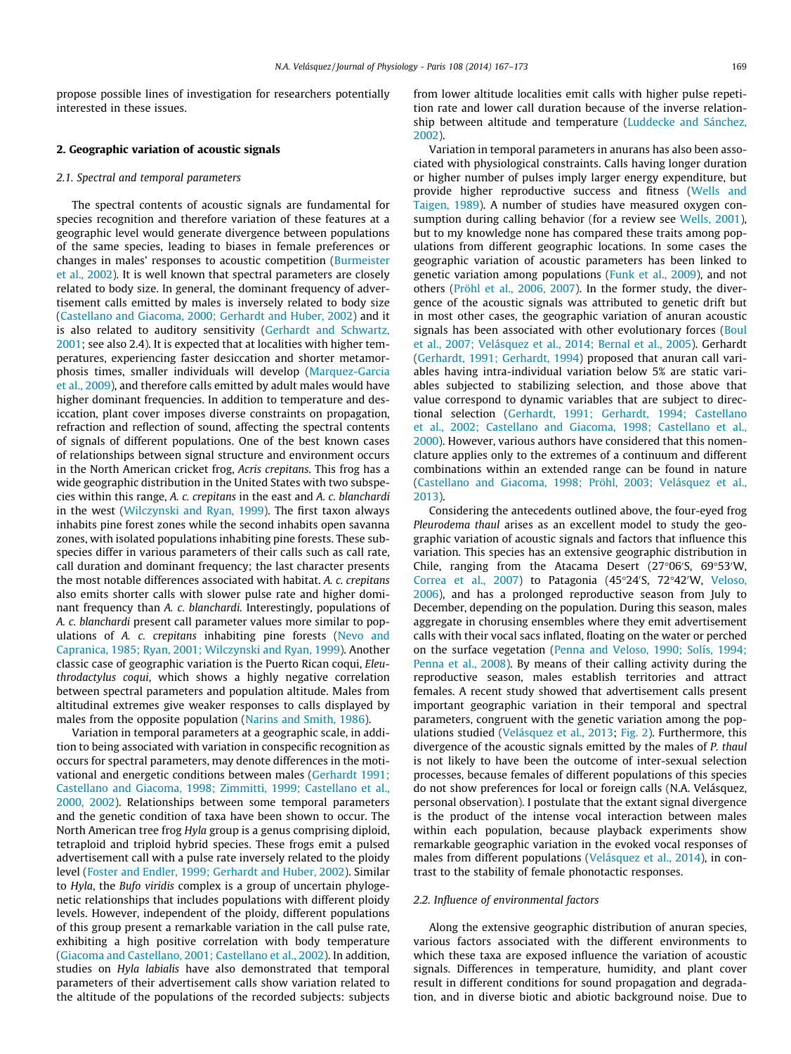propose possible lines of investigation for researchers potentially interested in these issues.

#### 2. Geographic variation of acoustic signals

#### 2.1. Spectral and temporal parameters

The spectral contents of acoustic signals are fundamental for species recognition and therefore variation of these features at a geographic level would generate divergence between populations of the same species, leading to biases in female preferences or changes in males' responses to acoustic competition ([Burmeister](#page-5-0) [et al., 2002\)](#page-5-0). It is well known that spectral parameters are closely related to body size. In general, the dominant frequency of advertisement calls emitted by males is inversely related to body size ([Castellano and Giacoma, 2000; Gerhardt and Huber, 2002\)](#page-5-0) and it is also related to auditory sensitivity ([Gerhardt and Schwartz,](#page-5-0) [2001](#page-5-0); see also 2.4). It is expected that at localities with higher temperatures, experiencing faster desiccation and shorter metamorphosis times, smaller individuals will develop [\(Marquez-Garcia](#page-5-0) [et al., 2009](#page-5-0)), and therefore calls emitted by adult males would have higher dominant frequencies. In addition to temperature and desiccation, plant cover imposes diverse constraints on propagation, refraction and reflection of sound, affecting the spectral contents of signals of different populations. One of the best known cases of relationships between signal structure and environment occurs in the North American cricket frog, Acris crepitans. This frog has a wide geographic distribution in the United States with two subspecies within this range, A. c. crepitans in the east and A. c. blanchardi in the west [\(Wilczynski and Ryan, 1999\)](#page-6-0). The first taxon always inhabits pine forest zones while the second inhabits open savanna zones, with isolated populations inhabiting pine forests. These subspecies differ in various parameters of their calls such as call rate, call duration and dominant frequency; the last character presents the most notable differences associated with habitat. A. c. crepitans also emits shorter calls with slower pulse rate and higher dominant frequency than A. c. blanchardi. Interestingly, populations of A. c. blanchardi present call parameter values more similar to populations of A. c. crepitans inhabiting pine forests [\(Nevo and](#page-5-0) [Capranica, 1985; Ryan, 2001; Wilczynski and Ryan, 1999](#page-5-0)). Another classic case of geographic variation is the Puerto Rican coqui, Eleuthrodactylus coqui, which shows a highly negative correlation between spectral parameters and population altitude. Males from altitudinal extremes give weaker responses to calls displayed by males from the opposite population ([Narins and Smith, 1986\)](#page-5-0).

Variation in temporal parameters at a geographic scale, in addition to being associated with variation in conspecific recognition as occurs for spectral parameters, may denote differences in the motivational and energetic conditions between males [\(Gerhardt 1991;](#page-5-0) [Castellano and Giacoma, 1998; Zimmitti, 1999; Castellano et al.,](#page-5-0) [2000, 2002](#page-5-0)). Relationships between some temporal parameters and the genetic condition of taxa have been shown to occur. The North American tree frog Hyla group is a genus comprising diploid, tetraploid and triploid hybrid species. These frogs emit a pulsed advertisement call with a pulse rate inversely related to the ploidy level ([Foster and Endler, 1999; Gerhardt and Huber, 2002](#page-5-0)). Similar to Hyla, the Bufo viridis complex is a group of uncertain phylogenetic relationships that includes populations with different ploidy levels. However, independent of the ploidy, different populations of this group present a remarkable variation in the call pulse rate, exhibiting a high positive correlation with body temperature ([Giacoma and Castellano, 2001; Castellano et al., 2002](#page-5-0)). In addition, studies on Hyla labialis have also demonstrated that temporal parameters of their advertisement calls show variation related to the altitude of the populations of the recorded subjects: subjects from lower altitude localities emit calls with higher pulse repetition rate and lower call duration because of the inverse relationship between altitude and temperature ([Luddecke and Sánchez,](#page-5-0) [2002](#page-5-0)).

Variation in temporal parameters in anurans has also been associated with physiological constraints. Calls having longer duration or higher number of pulses imply larger energy expenditure, but provide higher reproductive success and fitness ([Wells and](#page-6-0) [Taigen, 1989\)](#page-6-0). A number of studies have measured oxygen consumption during calling behavior (for a review see [Wells, 2001\)](#page-6-0), but to my knowledge none has compared these traits among populations from different geographic locations. In some cases the geographic variation of acoustic parameters has been linked to genetic variation among populations [\(Funk et al., 2009](#page-5-0)), and not others ([Pröhl et al., 2006, 2007](#page-6-0)). In the former study, the divergence of the acoustic signals was attributed to genetic drift but in most other cases, the geographic variation of anuran acoustic signals has been associated with other evolutionary forces ([Boul](#page-5-0) [et al., 2007; Velásquez et al., 2014; Bernal et al., 2005\)](#page-5-0). Gerhardt ([Gerhardt, 1991; Gerhardt, 1994](#page-5-0)) proposed that anuran call variables having intra-individual variation below 5% are static variables subjected to stabilizing selection, and those above that value correspond to dynamic variables that are subject to directional selection ([Gerhardt, 1991; Gerhardt, 1994; Castellano](#page-5-0) [et al., 2002; Castellano and Giacoma, 1998; Castellano et al.,](#page-5-0) [2000](#page-5-0)). However, various authors have considered that this nomenclature applies only to the extremes of a continuum and different combinations within an extended range can be found in nature ([Castellano and Giacoma, 1998; Pröhl, 2003; Velásquez et al.,](#page-5-0) [2013](#page-5-0)).

Considering the antecedents outlined above, the four-eyed frog Pleurodema thaul arises as an excellent model to study the geographic variation of acoustic signals and factors that influence this variation. This species has an extensive geographic distribution in Chile, ranging from the Atacama Desert (27 $^{\circ}$ 06'S, 69 $^{\circ}$ 53'W, [Correa et al., 2007\)](#page-5-0) to Patagonia (45°24'S, 72°42'W, [Veloso,](#page-6-0) [2006](#page-6-0)), and has a prolonged reproductive season from July to December, depending on the population. During this season, males aggregate in chorusing ensembles where they emit advertisement calls with their vocal sacs inflated, floating on the water or perched on the surface vegetation ([Penna and Veloso, 1990; Solís, 1994;](#page-6-0) [Penna et al., 2008](#page-6-0)). By means of their calling activity during the reproductive season, males establish territories and attract females. A recent study showed that advertisement calls present important geographic variation in their temporal and spectral parameters, congruent with the genetic variation among the populations studied ([Velásquez et al., 2013;](#page-6-0) [Fig. 2](#page-3-0)). Furthermore, this divergence of the acoustic signals emitted by the males of P. thaul is not likely to have been the outcome of inter-sexual selection processes, because females of different populations of this species do not show preferences for local or foreign calls (N.A. Velásquez, personal observation). I postulate that the extant signal divergence is the product of the intense vocal interaction between males within each population, because playback experiments show remarkable geographic variation in the evoked vocal responses of males from different populations ([Velásquez et al., 2014\)](#page-6-0), in contrast to the stability of female phonotactic responses.

#### 2.2. Influence of environmental factors

Along the extensive geographic distribution of anuran species, various factors associated with the different environments to which these taxa are exposed influence the variation of acoustic signals. Differences in temperature, humidity, and plant cover result in different conditions for sound propagation and degradation, and in diverse biotic and abiotic background noise. Due to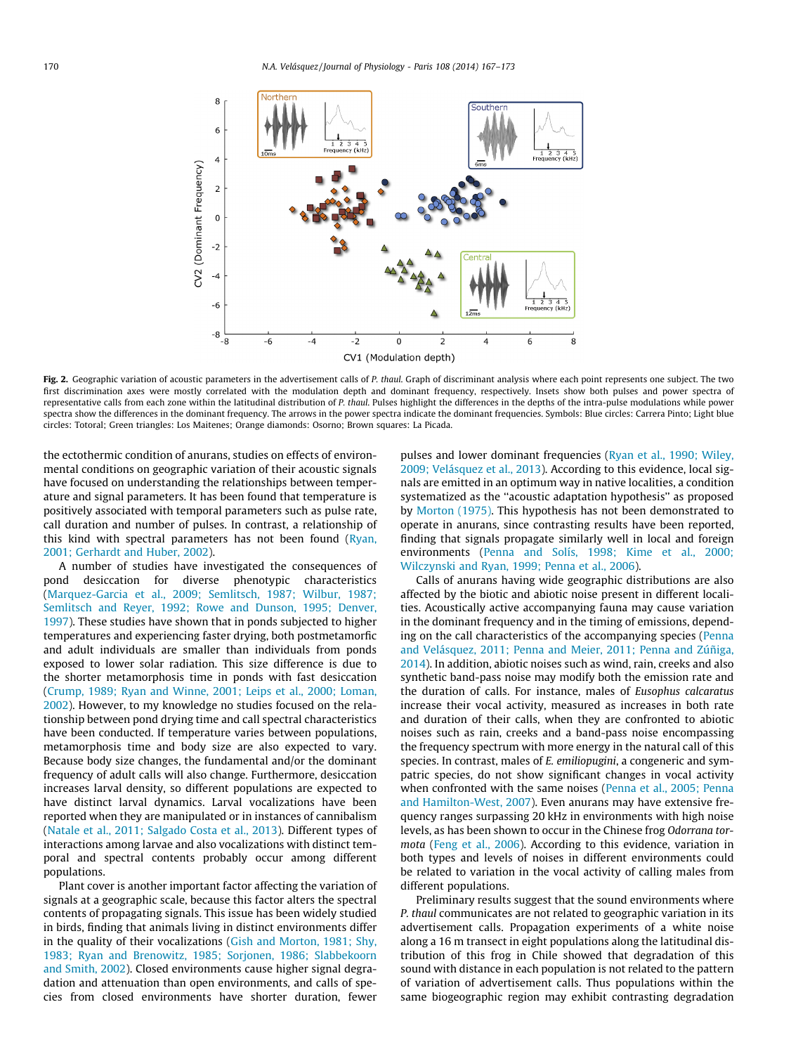<span id="page-3-0"></span>

Fig. 2. Geographic variation of acoustic parameters in the advertisement calls of P. thaul. Graph of discriminant analysis where each point represents one subject. The two first discrimination axes were mostly correlated with the modulation depth and dominant frequency, respectively. Insets show both pulses and power spectra of representative calls from each zone within the latitudinal distribution of P. thaul. Pulses highlight the differences in the depths of the intra-pulse modulations while power spectra show the differences in the dominant frequency. The arrows in the power spectra indicate the dominant frequencies. Symbols: Blue circles: Carrera Pinto; Light blue circles: Totoral; Green triangles: Los Maitenes; Orange diamonds: Osorno; Brown squares: La Picada.

the ectothermic condition of anurans, studies on effects of environmental conditions on geographic variation of their acoustic signals have focused on understanding the relationships between temperature and signal parameters. It has been found that temperature is positively associated with temporal parameters such as pulse rate, call duration and number of pulses. In contrast, a relationship of this kind with spectral parameters has not been found [\(Ryan,](#page-6-0) [2001; Gerhardt and Huber, 2002](#page-6-0)).

A number of studies have investigated the consequences of pond desiccation for diverse phenotypic characteristics ([Marquez-Garcia et al., 2009; Semlitsch, 1987; Wilbur, 1987;](#page-5-0) [Semlitsch and Reyer, 1992; Rowe and Dunson, 1995; Denver,](#page-5-0) [1997\)](#page-5-0). These studies have shown that in ponds subjected to higher temperatures and experiencing faster drying, both postmetamorfic and adult individuals are smaller than individuals from ponds exposed to lower solar radiation. This size difference is due to the shorter metamorphosis time in ponds with fast desiccation ([Crump, 1989; Ryan and Winne, 2001; Leips et al., 2000; Loman,](#page-5-0) [2002\)](#page-5-0). However, to my knowledge no studies focused on the relationship between pond drying time and call spectral characteristics have been conducted. If temperature varies between populations, metamorphosis time and body size are also expected to vary. Because body size changes, the fundamental and/or the dominant frequency of adult calls will also change. Furthermore, desiccation increases larval density, so different populations are expected to have distinct larval dynamics. Larval vocalizations have been reported when they are manipulated or in instances of cannibalism ([Natale et al., 2011; Salgado Costa et al., 2013](#page-5-0)). Different types of interactions among larvae and also vocalizations with distinct temporal and spectral contents probably occur among different populations.

Plant cover is another important factor affecting the variation of signals at a geographic scale, because this factor alters the spectral contents of propagating signals. This issue has been widely studied in birds, finding that animals living in distinct environments differ in the quality of their vocalizations ([Gish and Morton, 1981; Shy,](#page-5-0) [1983; Ryan and Brenowitz, 1985; Sorjonen, 1986; Slabbekoorn](#page-5-0) [and Smith, 2002\)](#page-5-0). Closed environments cause higher signal degradation and attenuation than open environments, and calls of species from closed environments have shorter duration, fewer pulses and lower dominant frequencies ([Ryan et al., 1990; Wiley,](#page-6-0) [2009; Velásquez et al., 2013\)](#page-6-0). According to this evidence, local signals are emitted in an optimum way in native localities, a condition systematized as the ''acoustic adaptation hypothesis'' as proposed by [Morton \(1975\)](#page-5-0). This hypothesis has not been demonstrated to operate in anurans, since contrasting results have been reported, finding that signals propagate similarly well in local and foreign environments [\(Penna and Solís, 1998; Kime et al., 2000;](#page-6-0) [Wilczynski and Ryan, 1999; Penna et al., 2006](#page-6-0)).

Calls of anurans having wide geographic distributions are also affected by the biotic and abiotic noise present in different localities. Acoustically active accompanying fauna may cause variation in the dominant frequency and in the timing of emissions, depending on the call characteristics of the accompanying species ([Penna](#page-6-0) [and Velásquez, 2011; Penna and Meier, 2011; Penna and Zúñiga,](#page-6-0) [2014\)](#page-6-0). In addition, abiotic noises such as wind, rain, creeks and also synthetic band-pass noise may modify both the emission rate and the duration of calls. For instance, males of Eusophus calcaratus increase their vocal activity, measured as increases in both rate and duration of their calls, when they are confronted to abiotic noises such as rain, creeks and a band-pass noise encompassing the frequency spectrum with more energy in the natural call of this species. In contrast, males of E. emiliopugini, a congeneric and sympatric species, do not show significant changes in vocal activity when confronted with the same noises [\(Penna et al., 2005; Penna](#page-6-0) [and Hamilton-West, 2007](#page-6-0)). Even anurans may have extensive frequency ranges surpassing 20 kHz in environments with high noise levels, as has been shown to occur in the Chinese frog Odorrana tormota ([Feng et al., 2006\)](#page-5-0). According to this evidence, variation in both types and levels of noises in different environments could be related to variation in the vocal activity of calling males from different populations.

Preliminary results suggest that the sound environments where P. thaul communicates are not related to geographic variation in its advertisement calls. Propagation experiments of a white noise along a 16 m transect in eight populations along the latitudinal distribution of this frog in Chile showed that degradation of this sound with distance in each population is not related to the pattern of variation of advertisement calls. Thus populations within the same biogeographic region may exhibit contrasting degradation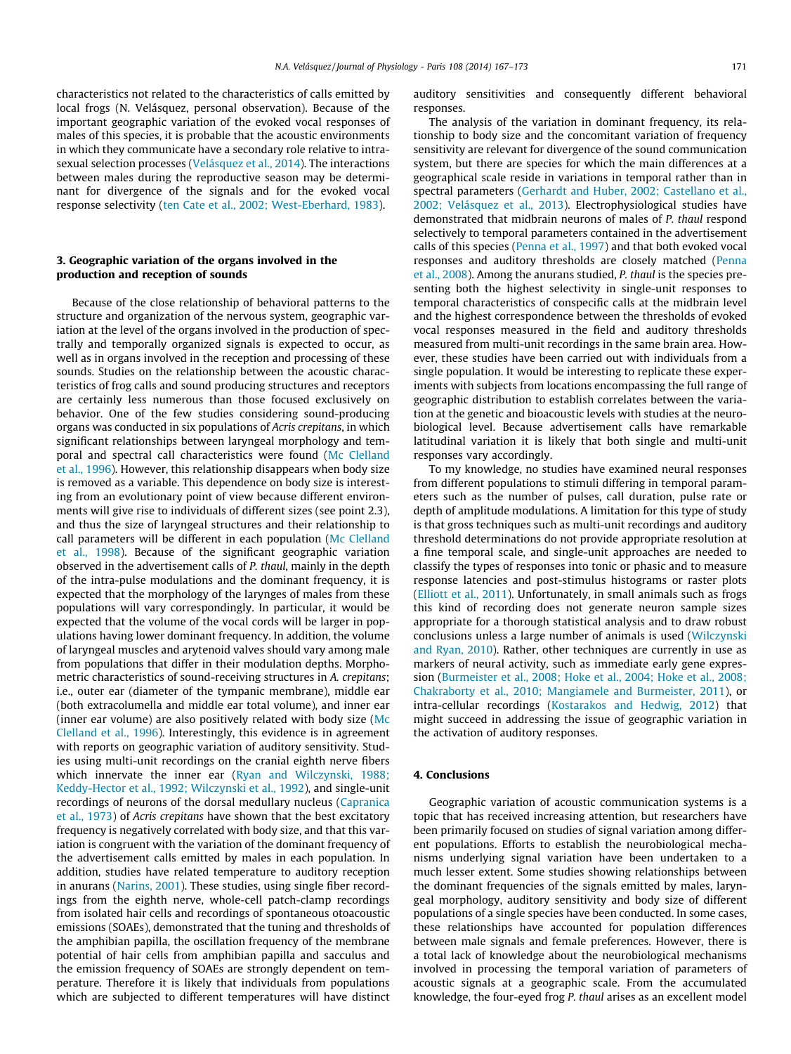characteristics not related to the characteristics of calls emitted by local frogs (N. Velásquez, personal observation). Because of the important geographic variation of the evoked vocal responses of males of this species, it is probable that the acoustic environments in which they communicate have a secondary role relative to intrasexual selection processes [\(Velásquez et al., 2014](#page-6-0)). The interactions between males during the reproductive season may be determinant for divergence of the signals and for the evoked vocal response selectivity ([ten Cate et al., 2002; West-Eberhard, 1983](#page-6-0)).

# 3. Geographic variation of the organs involved in the production and reception of sounds

Because of the close relationship of behavioral patterns to the structure and organization of the nervous system, geographic variation at the level of the organs involved in the production of spectrally and temporally organized signals is expected to occur, as well as in organs involved in the reception and processing of these sounds. Studies on the relationship between the acoustic characteristics of frog calls and sound producing structures and receptors are certainly less numerous than those focused exclusively on behavior. One of the few studies considering sound-producing organs was conducted in six populations of Acris crepitans, in which significant relationships between laryngeal morphology and temporal and spectral call characteristics were found [\(Mc Clelland](#page-5-0) [et al., 1996\)](#page-5-0). However, this relationship disappears when body size is removed as a variable. This dependence on body size is interesting from an evolutionary point of view because different environments will give rise to individuals of different sizes (see point 2.3), and thus the size of laryngeal structures and their relationship to call parameters will be different in each population [\(Mc Clelland](#page-5-0) [et al., 1998\)](#page-5-0). Because of the significant geographic variation observed in the advertisement calls of P. thaul, mainly in the depth of the intra-pulse modulations and the dominant frequency, it is expected that the morphology of the larynges of males from these populations will vary correspondingly. In particular, it would be expected that the volume of the vocal cords will be larger in populations having lower dominant frequency. In addition, the volume of laryngeal muscles and arytenoid valves should vary among male from populations that differ in their modulation depths. Morphometric characteristics of sound-receiving structures in A. crepitans; i.e., outer ear (diameter of the tympanic membrane), middle ear (both extracolumella and middle ear total volume), and inner ear (inner ear volume) are also positively related with body size ([Mc](#page-5-0) [Clelland et al., 1996](#page-5-0)). Interestingly, this evidence is in agreement with reports on geographic variation of auditory sensitivity. Studies using multi-unit recordings on the cranial eighth nerve fibers which innervate the inner ear ([Ryan and Wilczynski, 1988;](#page-6-0) [Keddy-Hector et al., 1992; Wilczynski et al., 1992](#page-6-0)), and single-unit recordings of neurons of the dorsal medullary nucleus [\(Capranica](#page-5-0) [et al., 1973\)](#page-5-0) of Acris crepitans have shown that the best excitatory frequency is negatively correlated with body size, and that this variation is congruent with the variation of the dominant frequency of the advertisement calls emitted by males in each population. In addition, studies have related temperature to auditory reception in anurans [\(Narins, 2001](#page-5-0)). These studies, using single fiber recordings from the eighth nerve, whole-cell patch-clamp recordings from isolated hair cells and recordings of spontaneous otoacoustic emissions (SOAEs), demonstrated that the tuning and thresholds of the amphibian papilla, the oscillation frequency of the membrane potential of hair cells from amphibian papilla and sacculus and the emission frequency of SOAEs are strongly dependent on temperature. Therefore it is likely that individuals from populations which are subjected to different temperatures will have distinct

auditory sensitivities and consequently different behavioral responses.

The analysis of the variation in dominant frequency, its relationship to body size and the concomitant variation of frequency sensitivity are relevant for divergence of the sound communication system, but there are species for which the main differences at a geographical scale reside in variations in temporal rather than in spectral parameters [\(Gerhardt and Huber, 2002; Castellano et al.,](#page-5-0) [2002; Velásquez et al., 2013\)](#page-5-0). Electrophysiological studies have demonstrated that midbrain neurons of males of P. thaul respond selectively to temporal parameters contained in the advertisement calls of this species ([Penna et al., 1997](#page-6-0)) and that both evoked vocal responses and auditory thresholds are closely matched ([Penna](#page-6-0) [et al., 2008](#page-6-0)). Among the anurans studied, P. thaul is the species presenting both the highest selectivity in single-unit responses to temporal characteristics of conspecific calls at the midbrain level and the highest correspondence between the thresholds of evoked vocal responses measured in the field and auditory thresholds measured from multi-unit recordings in the same brain area. However, these studies have been carried out with individuals from a single population. It would be interesting to replicate these experiments with subjects from locations encompassing the full range of geographic distribution to establish correlates between the variation at the genetic and bioacoustic levels with studies at the neurobiological level. Because advertisement calls have remarkable latitudinal variation it is likely that both single and multi-unit responses vary accordingly.

To my knowledge, no studies have examined neural responses from different populations to stimuli differing in temporal parameters such as the number of pulses, call duration, pulse rate or depth of amplitude modulations. A limitation for this type of study is that gross techniques such as multi-unit recordings and auditory threshold determinations do not provide appropriate resolution at a fine temporal scale, and single-unit approaches are needed to classify the types of responses into tonic or phasic and to measure response latencies and post-stimulus histograms or raster plots ([Elliott et al., 2011](#page-5-0)). Unfortunately, in small animals such as frogs this kind of recording does not generate neuron sample sizes appropriate for a thorough statistical analysis and to draw robust conclusions unless a large number of animals is used [\(Wilczynski](#page-6-0) [and Ryan, 2010\)](#page-6-0). Rather, other techniques are currently in use as markers of neural activity, such as immediate early gene expression ([Burmeister et al., 2008; Hoke et al., 2004; Hoke et al., 2008;](#page-5-0) [Chakraborty et al., 2010; Mangiamele and Burmeister, 2011](#page-5-0)), or intra-cellular recordings ([Kostarakos and Hedwig, 2012](#page-5-0)) that might succeed in addressing the issue of geographic variation in the activation of auditory responses.

#### 4. Conclusions

Geographic variation of acoustic communication systems is a topic that has received increasing attention, but researchers have been primarily focused on studies of signal variation among different populations. Efforts to establish the neurobiological mechanisms underlying signal variation have been undertaken to a much lesser extent. Some studies showing relationships between the dominant frequencies of the signals emitted by males, laryngeal morphology, auditory sensitivity and body size of different populations of a single species have been conducted. In some cases, these relationships have accounted for population differences between male signals and female preferences. However, there is a total lack of knowledge about the neurobiological mechanisms involved in processing the temporal variation of parameters of acoustic signals at a geographic scale. From the accumulated knowledge, the four-eyed frog P. thaul arises as an excellent model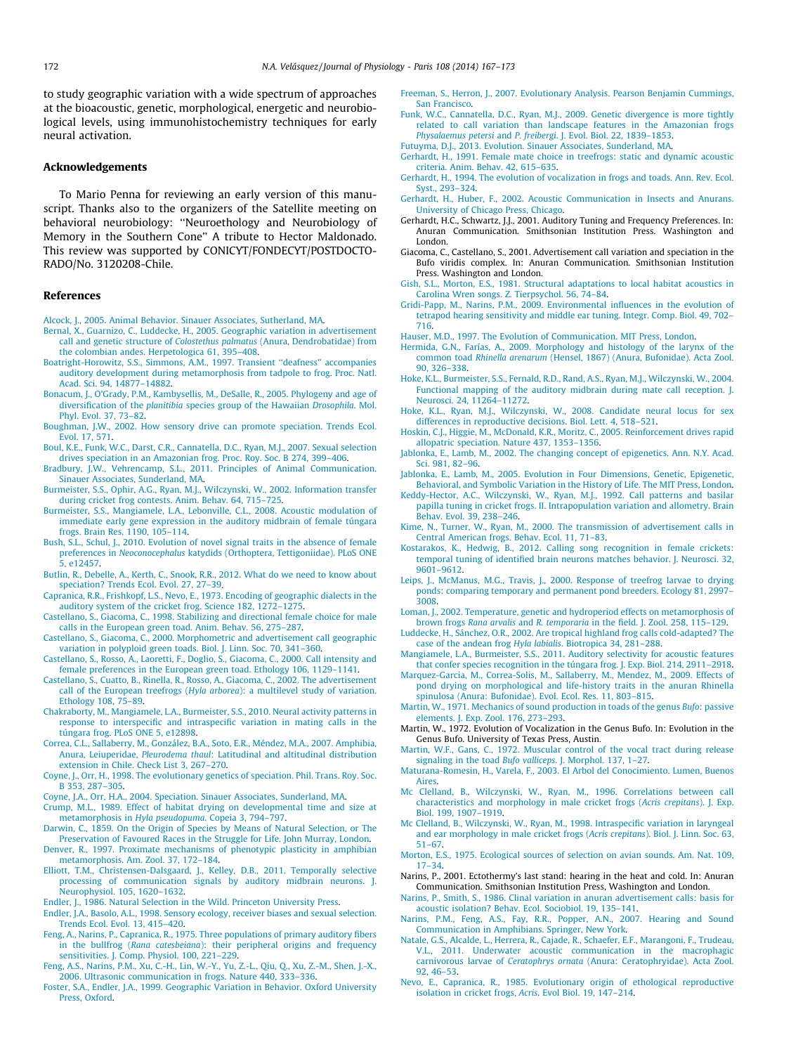<span id="page-5-0"></span>to study geographic variation with a wide spectrum of approaches at the bioacoustic, genetic, morphological, energetic and neurobiological levels, using immunohistochemistry techniques for early neural activation.

#### Acknowledgements

To Mario Penna for reviewing an early version of this manuscript. Thanks also to the organizers of the Satellite meeting on behavioral neurobiology: ''Neuroethology and Neurobiology of Memory in the Southern Cone'' A tribute to Hector Maldonado. This review was supported by CONICYT/FONDECYT/POSTDOCTO-RADO/No. 3120208-Chile.

#### References

- [Alcock, J., 2005. Animal Behavior. Sinauer Associates, Sutherland, MA](http://refhub.elsevier.com/S0928-4257(14)00045-X/h0005).
- [Bernal, X., Guarnizo, C., Luddecke, H., 2005. Geographic variation in advertisement](http://refhub.elsevier.com/S0928-4257(14)00045-X/h0010) call and genetic structure of Colostethus palmatus [\(Anura, Dendrobatidae\) from](http://refhub.elsevier.com/S0928-4257(14)00045-X/h0010) [the colombian andes. Herpetologica 61, 395–408.](http://refhub.elsevier.com/S0928-4257(14)00045-X/h0010)
- [Boatright-Horowitz, S.S., Simmons, A.M., 1997. Transient ''deafness'' accompanies](http://refhub.elsevier.com/S0928-4257(14)00045-X/h0015) [auditory development during metamorphosis from tadpole to frog. Proc. Natl.](http://refhub.elsevier.com/S0928-4257(14)00045-X/h0015) [Acad. Sci. 94, 14877–14882.](http://refhub.elsevier.com/S0928-4257(14)00045-X/h0015)
- [Bonacum, J., O'Grady, P.M., Kambysellis, M., DeSalle, R., 2005. Phylogeny and age of](http://refhub.elsevier.com/S0928-4257(14)00045-X/h0020) diversification of the planitibia [species group of the Hawaiian](http://refhub.elsevier.com/S0928-4257(14)00045-X/h0020) Drosophila. Mol. [Phyl. Evol. 37, 73–82.](http://refhub.elsevier.com/S0928-4257(14)00045-X/h0020)
- [Boughman, J.W., 2002. How sensory drive can promote speciation. Trends Ecol.](http://refhub.elsevier.com/S0928-4257(14)00045-X/h0025) [Evol. 17, 571.](http://refhub.elsevier.com/S0928-4257(14)00045-X/h0025)
- [Boul, K.E., Funk, W.C., Darst, C.R., Cannatella, D.C., Ryan, M.J., 2007. Sexual selection](http://refhub.elsevier.com/S0928-4257(14)00045-X/h0030) [drives speciation in an Amazonian frog. Proc. Roy. Soc. B 274, 399–406](http://refhub.elsevier.com/S0928-4257(14)00045-X/h0030).
- [Bradbury, J.W., Vehrencamp, S.L., 2011. Principles of Animal Communication.](http://refhub.elsevier.com/S0928-4257(14)00045-X/h0035) [Sinauer Associates, Sunderland, MA.](http://refhub.elsevier.com/S0928-4257(14)00045-X/h0035)
- [Burmeister, S.S., Ophir, A.G., Ryan, M.J., Wilczynski, W., 2002. Information transfer](http://refhub.elsevier.com/S0928-4257(14)00045-X/h0040)
- [during cricket frog contests. Anim. Behav. 64, 715–725](http://refhub.elsevier.com/S0928-4257(14)00045-X/h0040). [Burmeister, S.S., Mangiamele, L.A., Lebonville, C.L., 2008. Acoustic modulation of](http://refhub.elsevier.com/S0928-4257(14)00045-X/h0045) [immediate early gene expression in the auditory midbrain of female túngara](http://refhub.elsevier.com/S0928-4257(14)00045-X/h0045) [frogs. Brain Res. 1190, 105–114.](http://refhub.elsevier.com/S0928-4257(14)00045-X/h0045)
- [Bush, S.L., Schul, J., 2010. Evolution of novel signal traits in the absence of female](http://refhub.elsevier.com/S0928-4257(14)00045-X/h0050) preferences in Neoconocephalus [katydids \(Orthoptera, Tettigoniidae\). PLoS ONE](http://refhub.elsevier.com/S0928-4257(14)00045-X/h0050) [5, e12457.](http://refhub.elsevier.com/S0928-4257(14)00045-X/h0050)
- [Butlin, R., Debelle, A., Kerth, C., Snook, R.R., 2012. What do we need to know about](http://refhub.elsevier.com/S0928-4257(14)00045-X/h0055) [speciation? Trends Ecol. Evol. 27, 27–39.](http://refhub.elsevier.com/S0928-4257(14)00045-X/h0055)
- [Capranica, R.R., Frishkopf, L.S., Nevo, E., 1973. Encoding of geographic dialects in the](http://refhub.elsevier.com/S0928-4257(14)00045-X/h0060) [auditory system of the cricket frog. Science 182, 1272–1275](http://refhub.elsevier.com/S0928-4257(14)00045-X/h0060).
- [Castellano, S., Giacoma, C., 1998. Stabilizing and directional female choice for male](http://refhub.elsevier.com/S0928-4257(14)00045-X/h0075) [calls in the European green toad. Anim. Behav. 56, 275–287](http://refhub.elsevier.com/S0928-4257(14)00045-X/h0075).
- [Castellano, S., Giacoma, C., 2000. Morphometric and advertisement call geographic](http://refhub.elsevier.com/S0928-4257(14)00045-X/h0080) [variation in polyploid green toads. Biol. J. Linn. Soc. 70, 341–360](http://refhub.elsevier.com/S0928-4257(14)00045-X/h0080).
- [Castellano, S., Rosso, A., Laoretti, F., Doglio, S., Giacoma, C., 2000. Call intensity and](http://refhub.elsevier.com/S0928-4257(14)00045-X/h0065) [female preferences in the European green toad. Ethology 106, 1129–1141](http://refhub.elsevier.com/S0928-4257(14)00045-X/h0065).
- [Castellano, S., Cuatto, B., Rinella, R., Rosso, A., Giacoma, C., 2002. The advertisement](http://refhub.elsevier.com/S0928-4257(14)00045-X/h0070) call of the European treefrogs (Hyla arborea[\): a multilevel study of variation.](http://refhub.elsevier.com/S0928-4257(14)00045-X/h0070) [Ethology 108, 75–89](http://refhub.elsevier.com/S0928-4257(14)00045-X/h0070).
- [Chakraborty, M., Mangiamele, L.A., Burmeister, S.S., 2010. Neural activity patterns in](http://refhub.elsevier.com/S0928-4257(14)00045-X/h0085) [response to interspecific and intraspecific variation in mating calls in the](http://refhub.elsevier.com/S0928-4257(14)00045-X/h0085) [túngara frog. PLoS ONE 5, e12898](http://refhub.elsevier.com/S0928-4257(14)00045-X/h0085).
- [Correa, C.L., Sallaberry, M., González, B.A., Soto, E.R., Méndez, M.A., 2007. Amphibia,](http://refhub.elsevier.com/S0928-4257(14)00045-X/h0090) Anura, Leiuperidae, Pleurodema thaul[: Latitudinal and altitudinal distribution](http://refhub.elsevier.com/S0928-4257(14)00045-X/h0090) [extension in Chile. Check List 3, 267–270](http://refhub.elsevier.com/S0928-4257(14)00045-X/h0090).
- [Coyne, J., Orr, H., 1998. The evolutionary genetics of speciation. Phil. Trans. Roy. Soc.](http://refhub.elsevier.com/S0928-4257(14)00045-X/h0095) [B 353, 287–305](http://refhub.elsevier.com/S0928-4257(14)00045-X/h0095).
- [Coyne, J.A., Orr, H.A., 2004. Speciation. Sinauer Associates, Sunderland, MA.](http://refhub.elsevier.com/S0928-4257(14)00045-X/h0100)
- [Crump, M.L., 1989. Effect of habitat drying on developmental time and size at](http://refhub.elsevier.com/S0928-4257(14)00045-X/h0105) metamorphosis in Hyla pseudopuma[. Copeia 3, 794–797](http://refhub.elsevier.com/S0928-4257(14)00045-X/h0105).
- [Darwin, C., 1859. On the Origin of Species by Means of Natural Selection, or The](http://refhub.elsevier.com/S0928-4257(14)00045-X/h0110) [Preservation of Favoured Races in the Struggle for Life. John Murray, London](http://refhub.elsevier.com/S0928-4257(14)00045-X/h0110). [Denver, R., 1997. Proximate mechanisms of phenotypic plasticity in amphibian](http://refhub.elsevier.com/S0928-4257(14)00045-X/h0115)
- [metamorphosis. Am. Zool. 37, 172–184](http://refhub.elsevier.com/S0928-4257(14)00045-X/h0115). [Elliott, T.M., Christensen-Dalsgaard, J., Kelley, D.B., 2011. Temporally selective](http://refhub.elsevier.com/S0928-4257(14)00045-X/h0120)
- [processing of communication signals by auditory midbrain neurons. J.](http://refhub.elsevier.com/S0928-4257(14)00045-X/h0120) [Neurophysiol. 105, 1620–1632](http://refhub.elsevier.com/S0928-4257(14)00045-X/h0120).
- [Endler, J., 1986. Natural Selection in the Wild. Princeton University Press.](http://refhub.elsevier.com/S0928-4257(14)00045-X/h0125)
- [Endler, J.A., Basolo, A.L., 1998. Sensory ecology, receiver biases and sexual selection.](http://refhub.elsevier.com/S0928-4257(14)00045-X/h0130) [Trends Ecol. Evol. 13, 415–420.](http://refhub.elsevier.com/S0928-4257(14)00045-X/h0130)
- [Feng, A., Narins, P., Capranica, R., 1975. Three populations of primary auditory fibers](http://refhub.elsevier.com/S0928-4257(14)00045-X/h0140) in the bullfrog (Rana catesbeiana[\): their peripheral origins and frequency](http://refhub.elsevier.com/S0928-4257(14)00045-X/h0140) [sensitivities. J. Comp. Physiol. 100, 221–229](http://refhub.elsevier.com/S0928-4257(14)00045-X/h0140).
- [Feng, A.S., Narins, P.M., Xu, C.-H., Lin, W.-Y., Yu, Z.-L., Qiu, Q., Xu, Z.-M., Shen, J.-X.,](http://refhub.elsevier.com/S0928-4257(14)00045-X/h0145) [2006. Ultrasonic communication in frogs. Nature 440, 333–336](http://refhub.elsevier.com/S0928-4257(14)00045-X/h0145).
- [Foster, S.A., Endler, J.A., 1999. Geographic Variation in Behavior. Oxford University](http://refhub.elsevier.com/S0928-4257(14)00045-X/h0150) [Press, Oxford.](http://refhub.elsevier.com/S0928-4257(14)00045-X/h0150)
- [Freeman, S., Herron, J., 2007. Evolutionary Analysis. Pearson Benjamin Cummings,](http://refhub.elsevier.com/S0928-4257(14)00045-X/h0155) [San Francisco.](http://refhub.elsevier.com/S0928-4257(14)00045-X/h0155)
- [Funk, W.C., Cannatella, D.C., Ryan, M.J., 2009. Genetic divergence is more tightly](http://refhub.elsevier.com/S0928-4257(14)00045-X/h0165) [related to call variation than landscape features in the Amazonian frogs](http://refhub.elsevier.com/S0928-4257(14)00045-X/h0165) Physalaemus petersi and P. freibergi[. J. Evol. Biol. 22, 1839–1853.](http://refhub.elsevier.com/S0928-4257(14)00045-X/h0165)
- [Futuyma, D.J., 2013. Evolution. Sinauer Associates, Sunderland, MA](http://refhub.elsevier.com/S0928-4257(14)00045-X/h0160).
- [Gerhardt, H., 1991. Female mate choice in treefrogs: static and dynamic acoustic](http://refhub.elsevier.com/S0928-4257(14)00045-X/h0170) [criteria. Anim. Behav. 42, 615–635.](http://refhub.elsevier.com/S0928-4257(14)00045-X/h0170)
- [Gerhardt, H., 1994. The evolution of vocalization in frogs and toads. Ann. Rev. Ecol.](http://refhub.elsevier.com/S0928-4257(14)00045-X/h0175) [Syst., 293–324.](http://refhub.elsevier.com/S0928-4257(14)00045-X/h0175)
- [Gerhardt, H., Huber, F., 2002. Acoustic Communication in Insects and Anurans.](http://refhub.elsevier.com/S0928-4257(14)00045-X/h0180) [University of Chicago Press, Chicago.](http://refhub.elsevier.com/S0928-4257(14)00045-X/h0180)
- Gerhardt, H.C., Schwartz, J.J., 2001. Auditory Tuning and Frequency Preferences. In: Anuran Communication. Smithsonian Institution Press. Washington and London.
- Giacoma, C., Castellano, S., 2001. Advertisement call variation and speciation in the Bufo viridis complex. In: Anuran Communication. Smithsonian Institution Press. Washington and London.
- [Gish, S.L., Morton, E.S., 1981. Structural adaptations to local habitat acoustics in](http://refhub.elsevier.com/S0928-4257(14)00045-X/h0195) [Carolina Wren songs. Z. Tierpsychol. 56, 74–84.](http://refhub.elsevier.com/S0928-4257(14)00045-X/h0195)
- [Gridi-Papp, M., Narins, P.M., 2009. Environmental influences in the evolution of](http://refhub.elsevier.com/S0928-4257(14)00045-X/h0200) [tetrapod hearing sensitivity and middle ear tuning. Integr. Comp. Biol. 49, 702–](http://refhub.elsevier.com/S0928-4257(14)00045-X/h0200) [716](http://refhub.elsevier.com/S0928-4257(14)00045-X/h0200).
- [Hauser, M.D., 1997. The Evolution of Communication. MIT Press, London](http://refhub.elsevier.com/S0928-4257(14)00045-X/h0205).
- [Hermida, G.N., Farías, A., 2009. Morphology and histology of the larynx of the](http://refhub.elsevier.com/S0928-4257(14)00045-X/h0210) common toad Rhinella arenarum [\(Hensel, 1867\) \(Anura, Bufonidae\). Acta Zool.](http://refhub.elsevier.com/S0928-4257(14)00045-X/h0210) [90, 326–338.](http://refhub.elsevier.com/S0928-4257(14)00045-X/h0210)
- [Hoke, K.L., Burmeister, S.S., Fernald, R.D., Rand, A.S., Ryan, M.J., Wilczynski, W., 2004.](http://refhub.elsevier.com/S0928-4257(14)00045-X/h0215) [Functional mapping of the auditory midbrain during mate call reception. J.](http://refhub.elsevier.com/S0928-4257(14)00045-X/h0215) [Neurosci. 24, 11264–11272](http://refhub.elsevier.com/S0928-4257(14)00045-X/h0215).
- [Hoke, K.L., Ryan, M.J., Wilczynski, W., 2008. Candidate neural locus for sex](http://refhub.elsevier.com/S0928-4257(14)00045-X/h0220) [differences in reproductive decisions. Biol. Lett. 4, 518–521](http://refhub.elsevier.com/S0928-4257(14)00045-X/h0220).
- [Hoskin, C.J., Higgie, M., McDonald, K.R., Moritz, C., 2005. Reinforcement drives rapid](http://refhub.elsevier.com/S0928-4257(14)00045-X/h0225) [allopatric speciation. Nature 437, 1353–1356](http://refhub.elsevier.com/S0928-4257(14)00045-X/h0225).
- [Jablonka, E., Lamb, M., 2002. The changing concept of epigenetics. Ann. N.Y. Acad.](http://refhub.elsevier.com/S0928-4257(14)00045-X/h0230) [Sci. 981, 82–96](http://refhub.elsevier.com/S0928-4257(14)00045-X/h0230).
- [Jablonka, E., Lamb, M., 2005. Evolution in Four Dimensions, Genetic, Epigenetic,](http://refhub.elsevier.com/S0928-4257(14)00045-X/h0235) [Behavioral, and Symbolic Variation in the History of Life. The MIT Press, London](http://refhub.elsevier.com/S0928-4257(14)00045-X/h0235).
- [Keddy-Hector, A.C., Wilczynski, W., Ryan, M.J., 1992. Call patterns and basilar](http://refhub.elsevier.com/S0928-4257(14)00045-X/h0240) [papilla tuning in cricket frogs. II. Intrapopulation variation and allometry. Brain](http://refhub.elsevier.com/S0928-4257(14)00045-X/h0240) [Behav. Evol. 39, 238–246](http://refhub.elsevier.com/S0928-4257(14)00045-X/h0240).
- [Kime, N., Turner, W., Ryan, M., 2000. The transmission of advertisement calls in](http://refhub.elsevier.com/S0928-4257(14)00045-X/h0245) [Central American frogs. Behav. Ecol. 11, 71–83.](http://refhub.elsevier.com/S0928-4257(14)00045-X/h0245)
- [Kostarakos, K., Hedwig, B., 2012. Calling song recognition in female crickets:](http://refhub.elsevier.com/S0928-4257(14)00045-X/h0250) [temporal tuning of identified brain neurons matches behavior. J. Neurosci. 32,](http://refhub.elsevier.com/S0928-4257(14)00045-X/h0250) [9601–9612.](http://refhub.elsevier.com/S0928-4257(14)00045-X/h0250)
- [Leips, J., McManus, M.G., Travis, J., 2000. Response of treefrog larvae to drying](http://refhub.elsevier.com/S0928-4257(14)00045-X/h0255) [ponds: comparing temporary and permanent pond breeders. Ecology 81, 2997–](http://refhub.elsevier.com/S0928-4257(14)00045-X/h0255) [3008.](http://refhub.elsevier.com/S0928-4257(14)00045-X/h0255)
- [Loman, J., 2002. Temperature, genetic and hydroperiod effects on metamorphosis of](http://refhub.elsevier.com/S0928-4257(14)00045-X/h0260) brown frogs Rana arvalis and R. temporaria [in the field. J. Zool. 258, 115–129](http://refhub.elsevier.com/S0928-4257(14)00045-X/h0260).
- [Luddecke, H., Sánchez, O.R., 2002. Are tropical highland frog calls cold-adapted? The](http://refhub.elsevier.com/S0928-4257(14)00045-X/h0265) case of the andean frog Hyla labialis[. Biotropica 34, 281–288](http://refhub.elsevier.com/S0928-4257(14)00045-X/h0265).
- [Mangiamele, L.A., Burmeister, S.S., 2011. Auditory selectivity for acoustic features](http://refhub.elsevier.com/S0928-4257(14)00045-X/h0270) [that confer species recognition in the túngara frog. J. Exp. Biol. 214, 2911–2918](http://refhub.elsevier.com/S0928-4257(14)00045-X/h0270).
- [Marquez-Garcia, M., Correa-Solis, M., Sallaberry, M., Mendez, M., 2009. Effects of](http://refhub.elsevier.com/S0928-4257(14)00045-X/h0275) [pond drying on morphological and life-history traits in the anuran Rhinella](http://refhub.elsevier.com/S0928-4257(14)00045-X/h0275) [spinulosa \(Anura: Bufonidae\). Evol. Ecol. Res. 11, 803–815.](http://refhub.elsevier.com/S0928-4257(14)00045-X/h0275)
- [Martin, W., 1971. Mechanics of sound production in toads of the genus](http://refhub.elsevier.com/S0928-4257(14)00045-X/h0280) Bufo: passive [elements. J. Exp. Zool. 176, 273–293](http://refhub.elsevier.com/S0928-4257(14)00045-X/h0280).
- Martin, W., 1972. Evolution of Vocalization in the Genus Bufo. In: Evolution in the Genus Bufo. University of Texas Press, Austin.
- [Martin, W.F., Gans, C., 1972. Muscular control of the vocal tract during release](http://refhub.elsevier.com/S0928-4257(14)00045-X/h0290) signaling in the toad Bufo valliceps[. J. Morphol. 137, 1–27.](http://refhub.elsevier.com/S0928-4257(14)00045-X/h0290)
- [Maturana-Romesin, H., Varela, F., 2003. El Arbol del Conocimiento. Lumen, Buenos](http://refhub.elsevier.com/S0928-4257(14)00045-X/h0295) [Aires.](http://refhub.elsevier.com/S0928-4257(14)00045-X/h0295)
- [Mc Clelland, B., Wilczynski, W., Ryan, M., 1996. Correlations between call](http://refhub.elsevier.com/S0928-4257(14)00045-X/h0300) [characteristics and morphology in male cricket frogs \(](http://refhub.elsevier.com/S0928-4257(14)00045-X/h0300)Acris crepitans). J. Exp. [Biol. 199, 1907–1919](http://refhub.elsevier.com/S0928-4257(14)00045-X/h0300).
- [Mc Clelland, B., Wilczynski, W., Ryan, M., 1998. Intraspecific variation in laryngeal](http://refhub.elsevier.com/S0928-4257(14)00045-X/h0305) [and ear morphology in male cricket frogs \(](http://refhub.elsevier.com/S0928-4257(14)00045-X/h0305)Acris crepitans). Biol. J. Linn. Soc. 63, [51–67.](http://refhub.elsevier.com/S0928-4257(14)00045-X/h0305)
- [Morton, E.S., 1975. Ecological sources of selection on avian sounds. Am. Nat. 109,](http://refhub.elsevier.com/S0928-4257(14)00045-X/h0310) [17–34.](http://refhub.elsevier.com/S0928-4257(14)00045-X/h0310)
- Narins, P., 2001. Ectothermy's last stand: hearing in the heat and cold. In: Anuran Communication. Smithsonian Institution Press, Washington and London.
- [Narins, P., Smith, S., 1986. Clinal variation in anuran advertisement calls: basis for](http://refhub.elsevier.com/S0928-4257(14)00045-X/h0315) [acoustic isolation? Behav. Ecol. Sociobiol. 19, 135–141](http://refhub.elsevier.com/S0928-4257(14)00045-X/h0315).
- [Narins, P.M., Feng, A.S., Fay, R.R., Popper, A.N., 2007. Hearing and Sound](http://refhub.elsevier.com/S0928-4257(14)00045-X/h0325) [Communication in Amphibians. Springer, New York](http://refhub.elsevier.com/S0928-4257(14)00045-X/h0325).
- [Natale, G.S., Alcalde, L., Herrera, R., Cajade, R., Schaefer, E.F., Marangoni, F., Trudeau,](http://refhub.elsevier.com/S0928-4257(14)00045-X/h0330) [V.L., 2011. Underwater acoustic communication in the macrophagic](http://refhub.elsevier.com/S0928-4257(14)00045-X/h0330) carnivorous larvae of Ceratophrys ornata [\(Anura: Ceratophryidae\). Acta Zool.](http://refhub.elsevier.com/S0928-4257(14)00045-X/h0330) [92, 46–53](http://refhub.elsevier.com/S0928-4257(14)00045-X/h0330).
- [Nevo, E., Capranica, R., 1985. Evolutionary origin of ethological reproductive](http://refhub.elsevier.com/S0928-4257(14)00045-X/h0335) [isolation in cricket frogs,](http://refhub.elsevier.com/S0928-4257(14)00045-X/h0335) Acris. Evol Biol. 19, 147–214.